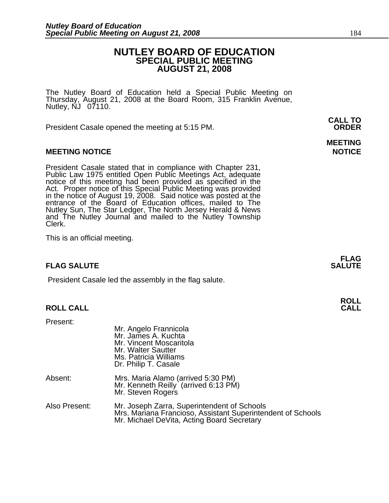# **NUTLEY BOARD OF EDUCATION SPECIAL PUBLIC MEETING AUGUST 21, 2008**

The Nutley Board of Education held a Special Public Meeting on Thursday, August 21, 2008 at the Board Room, 315 Franklin Avenue, Nutley, NJ 07110.

 **CALL TO**  President Casale opened the meeting at 5:15 PM. **ORDER**

### **MEETING NOTICE NOTICE AND RESERVE ASSESS**

President Casale stated that in compliance with Chapter 231,<br>Public Law 1975 entitled Open Public Meetings Act, adequate<br>notice of this meeting had been provided as specified in the<br>Act. Proper notice of this Special Publi Nutley Sun, The Star Ledger, The North Jersey Herald & News and The Nutley Journal and mailed to the Nutley Township Clerk.

This is an official meeting.

## **FLAG SALUTE** SALUTE

President Casale led the assembly in the flag salute.

# **ROLL ROLL CALL CALL**

Present:

|               | Mr. Angelo Frannicola<br>Mr. James A. Kuchta<br>Mr. Vincent Moscaritola<br>Mr. Walter Sautter<br>Ms. Patricia Williams<br>Dr. Philip T. Casale           |
|---------------|----------------------------------------------------------------------------------------------------------------------------------------------------------|
| Absent:       | Mrs. Maria Alamo (arrived 5:30 PM)<br>Mr. Kenneth Reilly (arrived 6:13 PM)<br>Mr. Steven Rogers                                                          |
| Also Present: | Mr. Joseph Zarra, Superintendent of Schools<br>Mrs. Mariana Francioso, Assistant Superintendent of Schools<br>Mr. Michael DeVita, Acting Board Secretary |

# **MEETING**

**FLAG**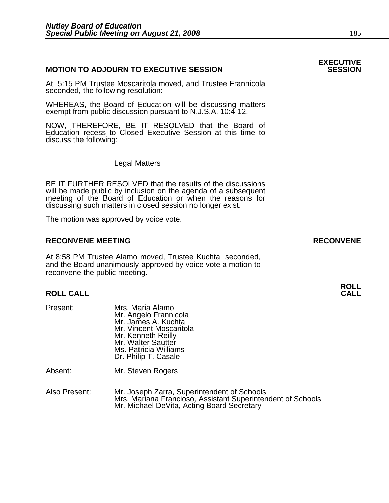### **MOTION TO ADJOURN TO EXECUTIVE SESSION**

At 5:15 PM Trustee Moscaritola moved, and Trustee Frannicola seconded, the following resolution:

WHEREAS, the Board of Education will be discussing matters exempt from public discussion pursuant to N.J.S.A. 10:4-12,

NOW, THEREFORE, BE IT RESOLVED that the Board of Education recess to Closed Executive Session at this time to discuss the following:

Legal Matters

BE IT FURTHER RESOLVED that the results of the discussions will be made public by inclusion on the agenda of a subsequent meeting of the Board of Education or when the reasons for discussing such matters in closed session no longer exist.

The motion was approved by voice vote.

### **RECONVENE MEETING RECONVENE**

At 8:58 PM Trustee Alamo moved, Trustee Kuchta seconded, and the Board unanimously approved by voice vote a motion to reconvene the public meeting.

# **ROLL ROLL CALL CALL**

Present: Mrs. Maria Alamo Mr. Angelo Frannicola Mr. James A. Kuchta Mr. Vincent Moscaritola<br>Mr. Kenneth Reilly Mr. Walter Sautter Ms. Patricia Williams Dr. Philip T. Casale

Absent: Mr. Steven Rogers

Also Present: Mr. Joseph Zarra, Superintendent of Schools Mrs. Mariana Francioso, Assistant Superintendent of Schools Mr. Michael DeVita, Acting Board Secretary

# **EXECUTIVE**